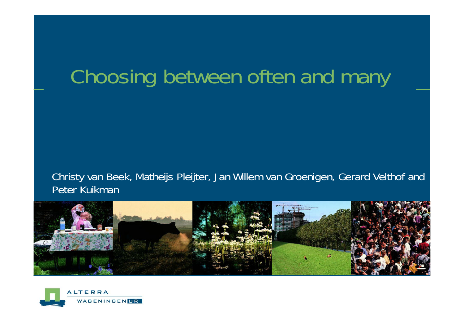# Choosing between often and many

Christy van Beek, Matheijs Pleijter, Jan Willem van Groenigen, Gerard Velthof and Peter Kuikman



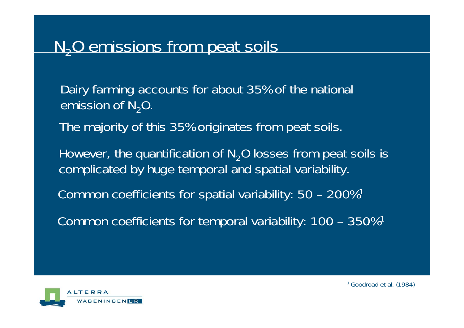# N<sub>2</sub>O emissions from peat soils

Dairy farming accounts for about 35% of the national emission of  $N_{2}O$ .

The majority of this 35% originates from peat soils.

However, the quantification of  $N<sub>2</sub>O$  losses from peat soils is complicated by huge temporal and spatial variability.

Common coefficients for spatial variability: 50 – 200%1

Common coefficients for temporal variability: 100 – 350%1

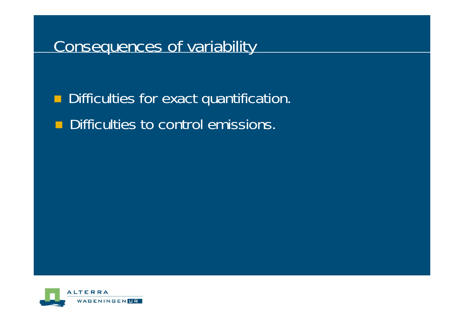#### Consequences of variability

 $\blacksquare$ Difficulties for exact quantification.

 $\blacksquare$ Difficulties to control emissions.

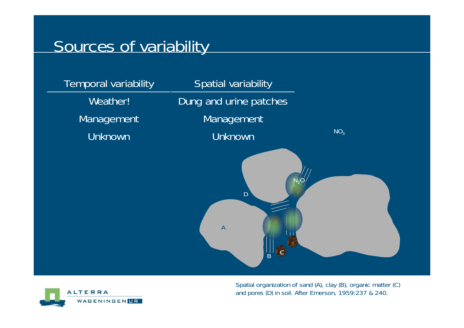#### Sources of variability





Spatial organization of sand (A), clay (B), organic matter (C) and pores (D) in soil. After Emerson, 1959:237 & 240.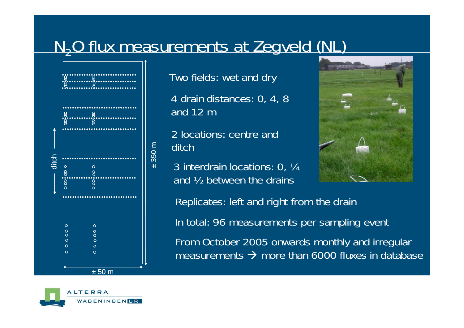# N<sub>2</sub>O flux measurements at Zegveld (NL)



Two fields: wet and dry

4 drain distances: 0, 4, 8 and 12 m

2 locations: centre and ditch

3 interdrain locations: 0, ¼ and ½ between the drains



Replicates: left and right from the drain In total: 96 measurements per sampling event

From October 2005 onwards monthly and irregular measurements  $\rightarrow$  more than 6000 fluxes in database

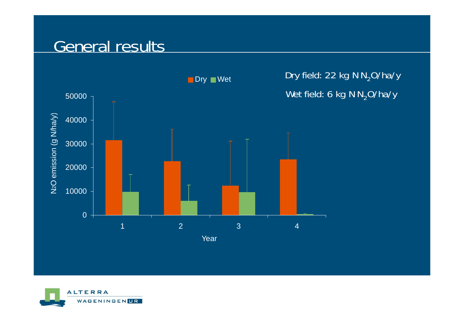#### General results



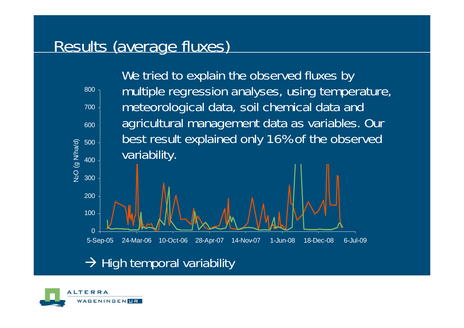## Results (average fluxes)



 $\rightarrow$  High temporal variability

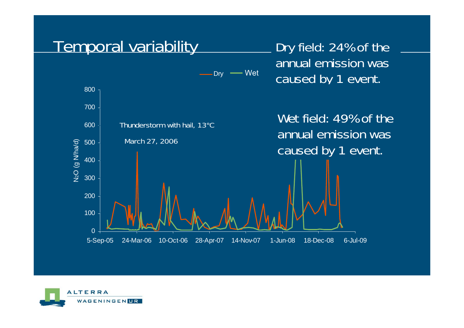

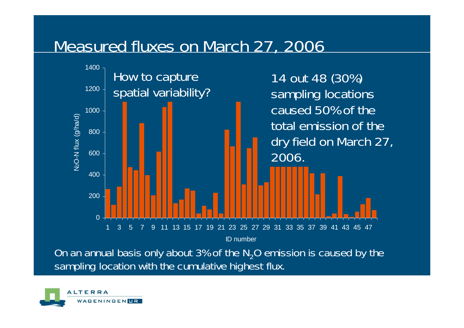## Measured fluxes on March 27, 2006



On an annual basis only about 3% of the N<sub>2</sub>O emission is caused by the sampling location with the cumulative highest flux.

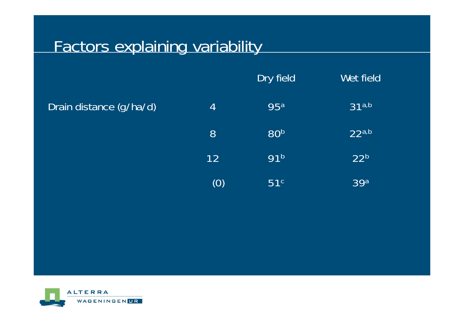# Factors explaining variability

|                         |     | Dry field       | Wet field         |
|-------------------------|-----|-----------------|-------------------|
| Drain distance (g/ha/d) | 4   | <b>95a</b>      | 31 <sup>a,b</sup> |
|                         | 8   | 80b             | 22a,b             |
|                         | 12  | 91 <sup>b</sup> | 22 <sup>b</sup>   |
|                         | (0) | 51 <sup>c</sup> | 39a               |